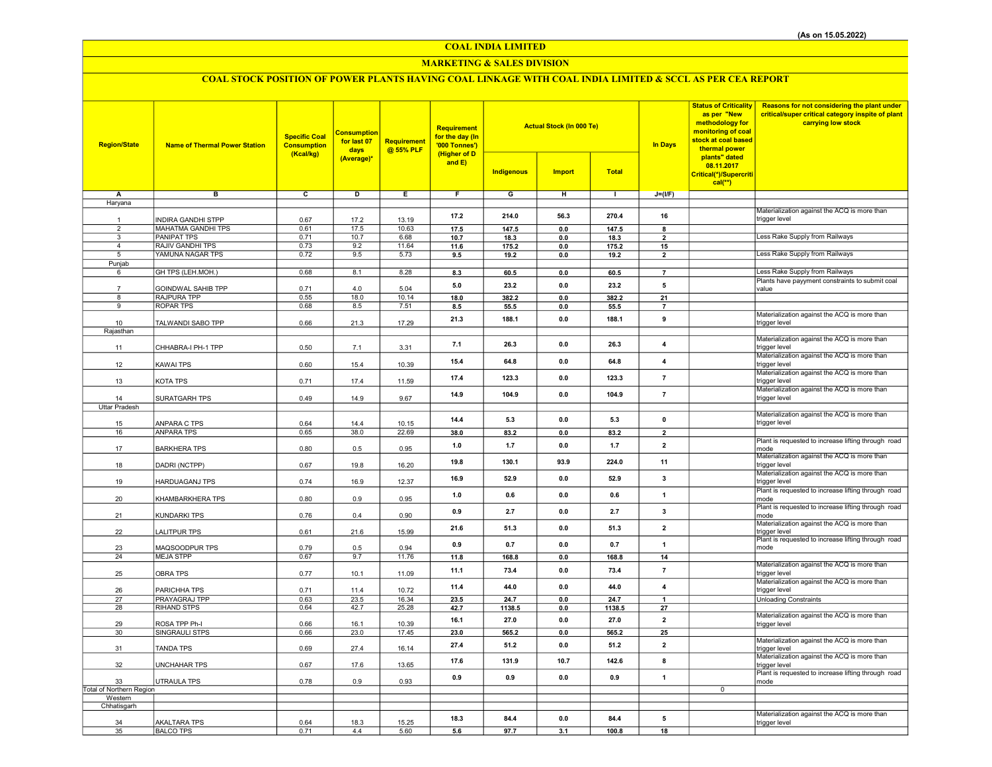## COAL INDIA LIMITED

## MARKETING & SALES DIVISION

# COAL STOCK POSITION OF POWER PLANTS HAVING COAL LINKAGE WITH COAL INDIA LIMITED & SCCL AS PER CEA REPORT

| <b>Region/State</b>                 | <b>Name of Thermal Power Station</b>                   | <b>Specific Coal</b><br><b>Consumption</b><br>(Kcal/kg) | <b>Consumption</b><br>for last 07<br>days<br>(Average)* | <b>Requirement</b><br>@ 55% PLF | Requirement<br>for the day (In<br>'000 Tonnes')<br>(Higher of D<br>and E) | <b>Actual Stock (In 000 Te)</b><br><b>Indigenous</b><br><b>Import</b><br><b>Total</b> |                       |                | <b>In Days</b>          | <b>Status of Criticality</b><br>as per "New<br>methodology for<br>monitoring of coal<br>stock at coal based<br>thermal power<br>plants" dated<br>08.11.2017<br>Critical(*)/Supercriti | Reasons for not considering the plant under<br>critical/super critical category inspite of plant<br>carrying low stock |
|-------------------------------------|--------------------------------------------------------|---------------------------------------------------------|---------------------------------------------------------|---------------------------------|---------------------------------------------------------------------------|---------------------------------------------------------------------------------------|-----------------------|----------------|-------------------------|---------------------------------------------------------------------------------------------------------------------------------------------------------------------------------------|------------------------------------------------------------------------------------------------------------------------|
|                                     |                                                        |                                                         |                                                         |                                 |                                                                           |                                                                                       |                       |                |                         | $cal(**)$                                                                                                                                                                             |                                                                                                                        |
| Α                                   | в                                                      | c                                                       | D                                                       | Ε                               | F                                                                         | G                                                                                     | н                     | $\mathbf{L}$   | $J=(I/F)$               |                                                                                                                                                                                       |                                                                                                                        |
| Haryana                             |                                                        |                                                         |                                                         |                                 |                                                                           |                                                                                       |                       |                |                         |                                                                                                                                                                                       |                                                                                                                        |
|                                     |                                                        |                                                         |                                                         |                                 | 17.2                                                                      | 214.0                                                                                 | 56.3                  | 270.4          | 16                      |                                                                                                                                                                                       | Materialization against the ACQ is more than                                                                           |
| $\mathbf{1}$<br>$\overline{2}$      | <b>INDIRA GANDHI STPP</b><br><b>MAHATMA GANDHI TPS</b> | 0.67<br>0.61                                            | 17.2<br>17.5                                            | 13.19<br>10.63                  |                                                                           |                                                                                       |                       |                |                         |                                                                                                                                                                                       | trigger level                                                                                                          |
| $\overline{3}$                      | <b>PANIPAT TPS</b>                                     | 0.71                                                    | 10.7                                                    | 6.68                            | 17.5<br>10.7                                                              | 147.5<br>18.3                                                                         | $\mathbf{0.0}$<br>0.0 | 147.5<br>18.3  | 8<br>$\overline{2}$     |                                                                                                                                                                                       | Less Rake Supply from Railways                                                                                         |
| $\overline{4}$                      | RAJIV GANDHI TPS                                       | 0.73                                                    | 9.2                                                     | 11.64                           | 11.6                                                                      | 175.2                                                                                 | 0.0                   | 175.2          | 15                      |                                                                                                                                                                                       |                                                                                                                        |
| 5                                   | YAMUNA NAGAR TPS                                       | 0.72                                                    | 9.5                                                     | 5.73                            | 9.5                                                                       | 19.2                                                                                  | 0.0                   | 19.2           | $\overline{2}$          |                                                                                                                                                                                       | Less Rake Supply from Railways                                                                                         |
| Punjab                              |                                                        |                                                         |                                                         |                                 |                                                                           |                                                                                       |                       |                |                         |                                                                                                                                                                                       |                                                                                                                        |
| 6                                   | GH TPS (LEH.MOH.)                                      | 0.68                                                    | 8.1                                                     | 8.28                            | 8.3                                                                       | 60.5                                                                                  | $\mathbf{0.0}$        | 60.5           | $\overline{7}$          |                                                                                                                                                                                       | Less Rake Supply from Railways                                                                                         |
|                                     | GOINDWAL SAHIB TPP                                     | 0.71                                                    | 4.0                                                     | 5.04                            | 5.0                                                                       | 23.2                                                                                  | 0.0                   | 23.2           | 5                       |                                                                                                                                                                                       | Plants have payyment constraints to submit coal<br>value                                                               |
| 8                                   | RAJPURA TPP                                            | 0.55                                                    | 18.0                                                    | 10.14                           | 18.0                                                                      | 382.2                                                                                 | 0.0                   | 382.2          | 21                      |                                                                                                                                                                                       |                                                                                                                        |
| 9                                   | <b>ROPAR TPS</b>                                       | 0.68                                                    | 8.5                                                     | 7.51                            | 8.5                                                                       | 55.5                                                                                  | 0.0                   | 55.5           | $\overline{7}$          |                                                                                                                                                                                       |                                                                                                                        |
|                                     |                                                        |                                                         |                                                         |                                 | 21.3                                                                      | 188.1                                                                                 | 0.0                   | 188.1          | 9                       |                                                                                                                                                                                       | Materialization against the ACQ is more than                                                                           |
| 10<br>Rajasthan                     | TALWANDI SABO TPP                                      | 0.66                                                    | 21.3                                                    | 17.29                           |                                                                           |                                                                                       |                       |                |                         |                                                                                                                                                                                       | trigger level                                                                                                          |
| 11                                  | CHHABRA-I PH-1 TPP                                     | 0.50                                                    | 7.1                                                     | 3.31                            | 7.1                                                                       | 26.3                                                                                  | 0.0                   | 26.3           | 4                       |                                                                                                                                                                                       | Materialization against the ACQ is more than<br>trigger level                                                          |
| 12                                  | <b>KAWAI TPS</b>                                       | 0.60                                                    | 15.4                                                    | 10.39                           | 15.4                                                                      | 64.8                                                                                  | 0.0                   | 64.8           | 4                       |                                                                                                                                                                                       | Materialization against the ACQ is more than<br>trigger level                                                          |
| 13                                  | KOTA TPS                                               | 0.71                                                    | 17.4                                                    | 11.59                           | 17.4                                                                      | 123.3                                                                                 | $0.0\,$               | 123.3          | $\overline{7}$          |                                                                                                                                                                                       | Materialization against the ACQ is more than<br>trigger level                                                          |
|                                     |                                                        |                                                         |                                                         |                                 | 14.9                                                                      | 104.9                                                                                 | 0.0                   | 104.9          | $\overline{7}$          |                                                                                                                                                                                       | Materialization against the ACQ is more than                                                                           |
| 14                                  | SURATGARH TPS                                          | 0.49                                                    | 14.9                                                    | 9.67                            |                                                                           |                                                                                       |                       |                |                         |                                                                                                                                                                                       | trigger level                                                                                                          |
| <b>Uttar Pradesh</b>                |                                                        |                                                         |                                                         |                                 |                                                                           |                                                                                       |                       |                |                         |                                                                                                                                                                                       | Materialization against the ACQ is more than                                                                           |
| 15                                  | ANPARA C TPS                                           | 0.64                                                    | 14.4                                                    | 10.15                           | 14.4                                                                      | 5.3                                                                                   | 0.0                   | 5.3            | $\mathbf 0$             |                                                                                                                                                                                       | trigger level                                                                                                          |
| 16                                  | <b>ANPARA TPS</b>                                      | 0.65                                                    | 38.0                                                    | 22.69                           | 38.0                                                                      | 83.2                                                                                  | $0.0\,$               | 83.2           | $\overline{2}$          |                                                                                                                                                                                       |                                                                                                                        |
| 17                                  | <b>BARKHERA TPS</b>                                    | 0.80                                                    | 0.5                                                     | 0.95                            | 1.0                                                                       | 1.7                                                                                   | 0.0                   | $1.7$          | $\overline{2}$          |                                                                                                                                                                                       | Plant is requested to increase lifting through road<br>mode                                                            |
| 18                                  | DADRI (NCTPP)                                          | 0.67                                                    | 19.8                                                    | 16.20                           | 19.8                                                                      | 130.1                                                                                 | 93.9                  | 224.0          | 11                      |                                                                                                                                                                                       | Materialization against the ACQ is more than<br>trigger level                                                          |
| 19                                  | <b>HARDUAGANJ TPS</b>                                  | 0.74                                                    | 16.9                                                    | 12.37                           | 16.9                                                                      | 52.9                                                                                  | 0.0                   | 52.9           | 3                       |                                                                                                                                                                                       | Materialization against the ACQ is more than<br>trigger level                                                          |
| 20                                  | KHAMBARKHERA TPS                                       | 0.80                                                    | 0.9                                                     | 0.95                            | 1.0                                                                       | 0.6                                                                                   | 0.0                   | 0.6            | $\overline{1}$          |                                                                                                                                                                                       | Plant is requested to increase lifting through road<br>mode<br>Plant is requested to increase lifting through road     |
| 21                                  | KUNDARKI TPS                                           | 0.76                                                    | 0.4                                                     | 0.90                            | 0.9                                                                       | 2.7                                                                                   | 0.0                   | 2.7            | $\mathbf{3}$            |                                                                                                                                                                                       | mode                                                                                                                   |
| 22                                  | <b>LALITPUR TPS</b>                                    | 0.61                                                    | 21.6                                                    | 15.99                           | 21.6                                                                      | 51.3                                                                                  | 0.0                   | 51.3           | $\overline{\mathbf{2}}$ |                                                                                                                                                                                       | Materialization against the ACQ is more than<br>trigger level                                                          |
| 23                                  | MAQSOODPUR TPS                                         | 0.79                                                    | 0.5                                                     | 0.94                            | 0.9                                                                       | 0.7                                                                                   | 0.0                   | 0.7            | $\mathbf{1}$            |                                                                                                                                                                                       | Plant is requested to increase lifting through road<br>mode                                                            |
| 24                                  | <b>MEJA STPP</b>                                       | 0.67                                                    | 9.7                                                     | 11.76                           | 11.8                                                                      | 168.8                                                                                 | 0.0                   | 168.8          | 14                      |                                                                                                                                                                                       | Materialization against the ACQ is more than                                                                           |
| 25                                  | <b>OBRA TPS</b>                                        | 0.77                                                    | 10.1                                                    | 11.09                           | 11.1                                                                      | 73.4                                                                                  | 0.0                   | 73.4           | $\overline{7}$          |                                                                                                                                                                                       | trigger level<br>Materialization against the ACQ is more than                                                          |
| 26                                  | PARICHHA TPS                                           | 0.71                                                    | 11.4                                                    | 10.72                           | 11.4                                                                      | 44.0                                                                                  | 0.0                   | 44.0           | $\overline{4}$          |                                                                                                                                                                                       | trigger level                                                                                                          |
| 27<br>28                            | PRAYAGRAJ TPP<br>RIHAND STPS                           | 0.63<br>0.64                                            | 23.5<br>42.7                                            | 16.34<br>25.28                  | 23.5<br>42.7                                                              | 24.7<br>1138.5                                                                        | 0.0<br>0.0            | 24.7<br>1138.5 | 27                      |                                                                                                                                                                                       | <b>Unloading Constraints</b>                                                                                           |
|                                     |                                                        |                                                         |                                                         |                                 |                                                                           |                                                                                       |                       |                |                         |                                                                                                                                                                                       | Materialization against the ACQ is more than                                                                           |
| 29                                  | ROSA TPP Ph-I                                          | 0.66                                                    | 16.1                                                    | 10.39                           | 16.1                                                                      | 27.0                                                                                  | 0.0                   | 27.0           | $\overline{\mathbf{2}}$ |                                                                                                                                                                                       | trigger level                                                                                                          |
| 30                                  | SINGRAULI STPS                                         | 0.66                                                    | 23.0                                                    | 17.45                           | 23.0                                                                      | 565.2                                                                                 | $0.0\,$               | 565.2          | 25                      |                                                                                                                                                                                       |                                                                                                                        |
| 31                                  | <b>TANDA TPS</b>                                       | 0.69                                                    | 27.4                                                    | 16.14                           | 27.4                                                                      | 51.2                                                                                  | 0.0                   | 51.2           | $\overline{2}$          |                                                                                                                                                                                       | Materialization against the ACQ is more than<br>trigger level                                                          |
| 32                                  | <b>UNCHAHAR TPS</b>                                    | 0.67                                                    | 17.6                                                    | 13.65                           | 17.6                                                                      | 131.9                                                                                 | 10.7                  | 142.6          | 8                       |                                                                                                                                                                                       | Materialization against the ACQ is more than<br>trigger level<br>Plant is requested to increase lifting through road   |
| 33                                  | <b>UTRAULA TPS</b>                                     | 0.78                                                    | 0.9                                                     | 0.93                            | 0.9                                                                       | 0.9                                                                                   | 0.0                   | 0.9            | $\overline{1}$          |                                                                                                                                                                                       | mode                                                                                                                   |
| Total of Northern Region<br>Western |                                                        |                                                         |                                                         |                                 |                                                                           |                                                                                       |                       |                |                         | $\overline{0}$                                                                                                                                                                        |                                                                                                                        |
| Chhatisgarh                         |                                                        |                                                         |                                                         |                                 |                                                                           |                                                                                       |                       |                |                         |                                                                                                                                                                                       |                                                                                                                        |
| 34                                  | <b>AKALTARA TPS</b>                                    | 0.64                                                    | 18.3                                                    | 15.25                           | 18.3                                                                      | 84.4                                                                                  | 0.0                   | 84.4           | 5                       |                                                                                                                                                                                       | Materialization against the ACQ is more than<br>trigger level                                                          |
| 35                                  | <b>BALCO TPS</b>                                       | 0.71                                                    | 4.4                                                     | 5.60                            | 5.6                                                                       | 97.7                                                                                  | 3.1                   | 100.8          | 18                      |                                                                                                                                                                                       |                                                                                                                        |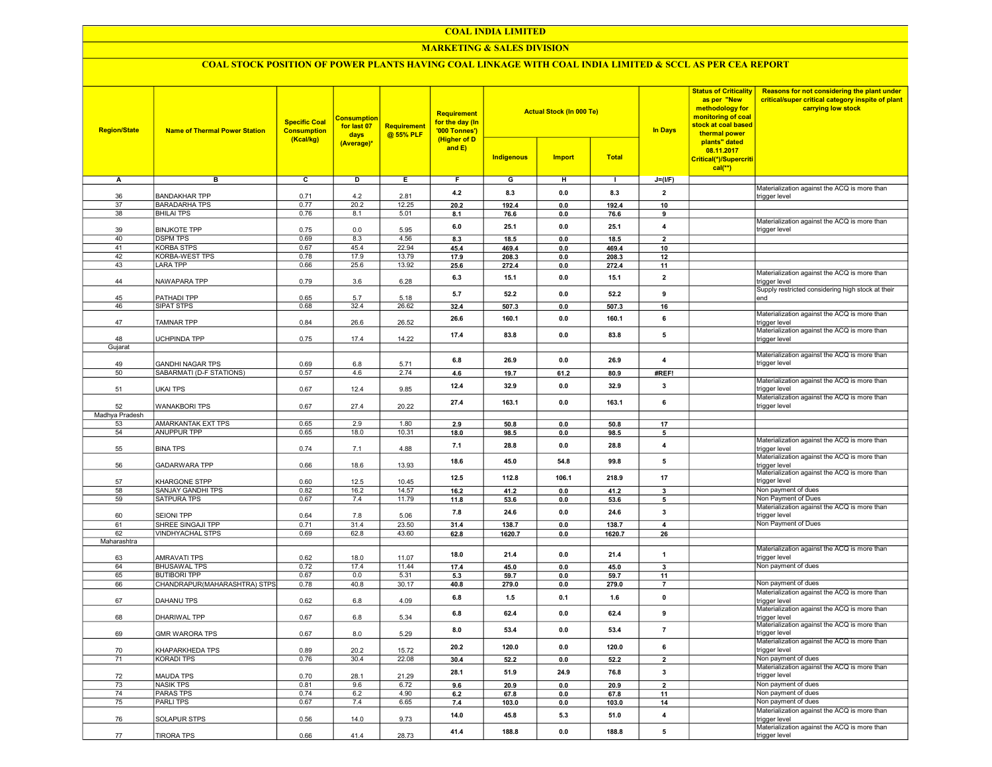#### COAL INDIA LIMITED

## MARKETING & SALES DIVISION

## COAL STOCK POSITION OF POWER PLANTS HAVING COAL LINKAGE WITH COAL INDIA LIMITED & SCCL AS PER CEA REPORT

| <b>Region/State</b> | <b>Name of Thermal Power Station</b>       | <b>Specific Coal</b><br><b>Consumption</b><br>(Kcal/kg) | <b>Consumption</b><br>for last 07<br>days<br>(Average)* | <b>Requirement</b><br>@ 55% PLF | <b>Requirement</b><br>for the day (In<br>'000 Tonnes')<br>(Higher of D<br>and E) | <b>Indigenous</b> | <b>Actual Stock (In 000 Te)</b><br><b>Import</b> | <b>Total</b>   | <b>In Days</b>          | <b>Status of Criticality</b><br>as per "New<br>methodology for<br>monitoring of coal<br>stock at coal based<br>thermal power<br>plants" dated<br>08.11.2017<br>Critical(*)/Supercriti<br>$cal$ <sup>**</sup> ) | Reasons for not considering the plant under<br>critical/super critical category inspite of plant<br>carrying low stock |
|---------------------|--------------------------------------------|---------------------------------------------------------|---------------------------------------------------------|---------------------------------|----------------------------------------------------------------------------------|-------------------|--------------------------------------------------|----------------|-------------------------|----------------------------------------------------------------------------------------------------------------------------------------------------------------------------------------------------------------|------------------------------------------------------------------------------------------------------------------------|
| А                   | в                                          | $\overline{c}$                                          | D                                                       | Е.                              | F.                                                                               | G                 | н                                                | $\blacksquare$ | $J=(I/F)$               |                                                                                                                                                                                                                |                                                                                                                        |
|                     |                                            |                                                         |                                                         |                                 |                                                                                  |                   |                                                  |                |                         |                                                                                                                                                                                                                | Materialization against the ACQ is more than                                                                           |
| 36                  | <b>BANDAKHAR TPP</b>                       | 0.71                                                    | 4.2                                                     | 2.81                            | 4.2                                                                              | 8.3               | 0.0                                              | 8.3            | $\overline{2}$          |                                                                                                                                                                                                                | trigger level                                                                                                          |
| 37                  | <b>BARADARHA TPS</b>                       | 0.77                                                    | 20.2                                                    | 12.25                           | 20.2                                                                             | 192.4             | 0.0                                              | 192.4          | 10                      |                                                                                                                                                                                                                |                                                                                                                        |
| 38                  | <b>BHILAI TPS</b>                          | 0.76                                                    | 8.1                                                     | 5.01                            | 8.1                                                                              | 76.6              | 0.0                                              | 76.6           | 9                       |                                                                                                                                                                                                                | Materialization against the ACQ is more than                                                                           |
| 39                  | <b>BINJKOTE TPP</b>                        | 0.75                                                    | 0.0                                                     | 5.95                            | 6.0                                                                              | 25.1              | 0.0                                              | 25.1           | 4                       |                                                                                                                                                                                                                | trigger level                                                                                                          |
| 40                  | <b>DSPM TPS</b>                            | 0.69                                                    | 8.3                                                     | 4.56                            | 8.3                                                                              | 18.5              | 0.0                                              | 18.5           | $\mathbf{2}$            |                                                                                                                                                                                                                |                                                                                                                        |
| 41                  | <b>KORBA STPS</b>                          | 0.67                                                    | 45.4                                                    | 22.94                           | 45.4                                                                             | 469.4             | 0.0                                              | 469.4          | 10                      |                                                                                                                                                                                                                |                                                                                                                        |
| 42                  | KORBA-WEST TPS                             | 0.78                                                    | 17.9                                                    | 13.79                           | 17.9                                                                             | 208.3             | 0.0                                              | 208.3          | 12                      |                                                                                                                                                                                                                |                                                                                                                        |
| 43                  | <b>LARA TPP</b>                            | 0.66                                                    | 25.6                                                    | 13.92                           | 25.6                                                                             | 272.4             | 0.0                                              | 272.4          | 11                      |                                                                                                                                                                                                                |                                                                                                                        |
| 44                  | NAWAPARA TPP                               |                                                         |                                                         |                                 | 6.3                                                                              | 15.1              | 0.0                                              | 15.1           | $\overline{2}$          |                                                                                                                                                                                                                | Materialization against the ACQ is more than                                                                           |
|                     |                                            | 0.79                                                    | 3.6                                                     | 6.28                            |                                                                                  |                   |                                                  |                |                         |                                                                                                                                                                                                                | trigger level<br>Supply restricted considering high stock at their                                                     |
| 45                  | PATHADI TPP                                | 0.65                                                    | 5.7                                                     | 5.18                            | 5.7                                                                              | 52.2              | 0.0                                              | 52.2           | 9                       |                                                                                                                                                                                                                | end                                                                                                                    |
| 46                  | SIPAT STPS                                 | 0.68                                                    | 32.4                                                    | 26.62                           | 32.4                                                                             | 507.3             | 0.0                                              | 507.3          | 16                      |                                                                                                                                                                                                                |                                                                                                                        |
|                     |                                            |                                                         |                                                         |                                 | 26.6                                                                             | 160.1             | 0.0                                              | 160.1          | 6                       |                                                                                                                                                                                                                | Materialization against the ACQ is more than                                                                           |
| 47                  | TAMNAR TPP                                 | 0.84                                                    | 26.6                                                    | 26.52                           |                                                                                  |                   |                                                  |                |                         |                                                                                                                                                                                                                | trigger level                                                                                                          |
| 48                  | UCHPINDA TPP                               | 0.75                                                    | 17.4                                                    | 14.22                           | 17.4                                                                             | 83.8              | 0.0                                              | 83.8           | 5                       |                                                                                                                                                                                                                | Materialization against the ACQ is more than<br>trigger level                                                          |
| Gujarat             |                                            |                                                         |                                                         |                                 |                                                                                  |                   |                                                  |                |                         |                                                                                                                                                                                                                |                                                                                                                        |
|                     |                                            |                                                         |                                                         |                                 |                                                                                  |                   |                                                  |                |                         |                                                                                                                                                                                                                | Materialization against the ACQ is more than                                                                           |
| 49                  | <b>GANDHI NAGAR TPS</b>                    | 0.69                                                    | 6.8                                                     | 5.71                            | 6.8                                                                              | 26.9              | 0.0                                              | 26.9           | 4                       |                                                                                                                                                                                                                | trigger level                                                                                                          |
| 50                  | SABARMATI (D-F STATIONS)                   | 0.57                                                    | 4.6                                                     | 2.74                            | 4.6                                                                              | 19.7              | 61.2                                             | 80.9           | #REF!                   |                                                                                                                                                                                                                |                                                                                                                        |
|                     |                                            |                                                         |                                                         |                                 | 12.4                                                                             | 32.9              | 0.0                                              | 32.9           | 3                       |                                                                                                                                                                                                                | Materialization against the ACQ is more than<br>trigger level                                                          |
| 51                  | <b>UKAI TPS</b>                            | 0.67                                                    | 12.4                                                    | 9.85                            |                                                                                  |                   |                                                  |                |                         |                                                                                                                                                                                                                | Materialization against the ACQ is more than                                                                           |
| 52                  | <b>WANAKBORI TPS</b>                       | 0.67                                                    | 27.4                                                    | 20.22                           | 27.4                                                                             | 163.1             | 0.0                                              | 163.1          | 6                       |                                                                                                                                                                                                                | trigger level                                                                                                          |
| Madhya Pradesh      |                                            |                                                         |                                                         |                                 |                                                                                  |                   |                                                  |                |                         |                                                                                                                                                                                                                |                                                                                                                        |
| 53                  | <b>AMARKANTAK EXT TPS</b>                  | 0.65                                                    | 2.9                                                     | 1.80                            | 2.9                                                                              | 50.8              | 0.0                                              | 50.8           | 17                      |                                                                                                                                                                                                                |                                                                                                                        |
| 54                  | <b>ANUPPUR TPP</b>                         | 0.65                                                    | 18.0                                                    | 10.31                           | 18.0                                                                             | 98.5              | 0.0                                              | 98.5           | 5                       |                                                                                                                                                                                                                |                                                                                                                        |
|                     |                                            |                                                         |                                                         |                                 | 7.1                                                                              | 28.8              | 0.0                                              | 28.8           | $\overline{4}$          |                                                                                                                                                                                                                | Materialization against the ACQ is more than                                                                           |
| 55                  | <b>BINA TPS</b>                            | 0.74                                                    | 7.1                                                     | 4.88                            |                                                                                  |                   |                                                  |                |                         |                                                                                                                                                                                                                | trigger level<br>Materialization against the ACQ is more than                                                          |
| 56                  | <b>GADARWARA TPP</b>                       | 0.66                                                    | 18.6                                                    | 13.93                           | 18.6                                                                             | 45.0              | 54.8                                             | 99.8           | 5                       |                                                                                                                                                                                                                | trigger level                                                                                                          |
|                     |                                            |                                                         |                                                         |                                 |                                                                                  |                   |                                                  |                |                         |                                                                                                                                                                                                                | Materialization against the ACQ is more than                                                                           |
| 57                  | KHARGONE STPP                              | 0.60                                                    | 12.5                                                    | 10.45                           | 12.5                                                                             | 112.8             | 106.1                                            | 218.9          | 17                      |                                                                                                                                                                                                                | trigger level                                                                                                          |
| 58                  | SANJAY GANDHI TPS                          | 0.82                                                    | 16.2                                                    | 14.57                           | 16.2                                                                             | 41.2              | 0.0                                              | 41.2           | 3                       |                                                                                                                                                                                                                | Non payment of dues                                                                                                    |
| 59                  | SATPURA TPS                                | 0.67                                                    | 7.4                                                     | 11.79                           | 11.8                                                                             | 53.6              | 0.0                                              | 53.6           | 5                       |                                                                                                                                                                                                                | Non Payment of Dues<br>Materialization against the ACQ is more than                                                    |
| 60                  | <b>SEIONI TPP</b>                          | 0.64                                                    | 7.8                                                     | 5.06                            | 7.8                                                                              | 24.6              | 0.0                                              | 24.6           | 3                       |                                                                                                                                                                                                                | trigger level                                                                                                          |
| 61                  | SHREE SINGAJI TPP                          | 0.71                                                    | 31.4                                                    | 23.50                           | 31.4                                                                             | 138.7             | 0.0                                              | 138.7          | $\overline{4}$          |                                                                                                                                                                                                                | Non Payment of Dues                                                                                                    |
| 62                  | <b>VINDHYACHAL STPS</b>                    | 0.69                                                    | 62.8                                                    | 43.60                           | 62.8                                                                             | 1620.7            | 0.0                                              | 1620.7         | 26                      |                                                                                                                                                                                                                |                                                                                                                        |
| Maharashtra         |                                            |                                                         |                                                         |                                 |                                                                                  |                   |                                                  |                |                         |                                                                                                                                                                                                                |                                                                                                                        |
|                     |                                            |                                                         |                                                         |                                 | 18.0                                                                             | 21.4              | 0.0                                              | 21.4           | $\overline{1}$          |                                                                                                                                                                                                                | Materialization against the ACQ is more than                                                                           |
| 63                  | <b>AMRAVATI TPS</b><br><b>BHUSAWAL TPS</b> | 0.62                                                    | 18.0                                                    | 11.07                           |                                                                                  |                   |                                                  |                |                         |                                                                                                                                                                                                                | trigger level<br>Non payment of dues                                                                                   |
| 64<br>65            | <b>BUTIBORI TPP</b>                        | 0.72<br>0.67                                            | 17.4<br>0.0                                             | 11.44<br>5.31                   | 17.4<br>5.3                                                                      | 45.0<br>59.7      | 0.0<br>0.0                                       | 45.0<br>59.7   | $\mathbf{3}$<br>11      |                                                                                                                                                                                                                |                                                                                                                        |
| 66                  | CHANDRAPUR(MAHARASHTRA) STPS               | 0.78                                                    | 40.8                                                    | 30.17                           | 40.8                                                                             | 279.0             | 0.0                                              | 279.0          | $\overline{7}$          |                                                                                                                                                                                                                | Non payment of dues                                                                                                    |
|                     |                                            |                                                         |                                                         |                                 |                                                                                  |                   |                                                  |                |                         |                                                                                                                                                                                                                | Materialization against the ACQ is more than                                                                           |
| 67                  | DAHANU TPS                                 | 0.62                                                    | 6.8                                                     | 4.09                            | 6.8                                                                              | $1.5$             | 0.1                                              | 1.6            | $\mathbf 0$             |                                                                                                                                                                                                                | trigger level                                                                                                          |
|                     |                                            |                                                         |                                                         |                                 | 6.8                                                                              | 62.4              | 0.0                                              | 62.4           | 9                       |                                                                                                                                                                                                                | Materialization against the ACQ is more than                                                                           |
| 68                  | DHARIWAL TPP                               | 0.67                                                    | 6.8                                                     | 5.34                            |                                                                                  |                   |                                                  |                |                         |                                                                                                                                                                                                                | trigger level<br>Materialization against the ACQ is more than                                                          |
| 69                  | <b>GMR WARORA TPS</b>                      | 0.67                                                    | 8.0                                                     | 5.29                            | 8.0                                                                              | 53.4              | 0.0                                              | 53.4           | $\overline{7}$          |                                                                                                                                                                                                                | trigger level                                                                                                          |
|                     |                                            |                                                         |                                                         |                                 |                                                                                  |                   |                                                  |                |                         |                                                                                                                                                                                                                | Materialization against the ACQ is more than                                                                           |
| 70                  | KHAPARKHEDA TPS                            | 0.89                                                    | 20.2                                                    | 15.72                           | 20.2                                                                             | 120.0             | $\mathbf{0.0}$                                   | 120.0          | 6                       |                                                                                                                                                                                                                | trigger level                                                                                                          |
| 71                  | KORADI TPS                                 | 0.76                                                    | 30.4                                                    | 22.08                           | 30.4                                                                             | 52.2              | $\mathbf{0.0}$                                   | 52.2           | $\overline{\mathbf{2}}$ |                                                                                                                                                                                                                | Non payment of dues                                                                                                    |
|                     |                                            |                                                         |                                                         |                                 | 28.1                                                                             | 51.9              | 24.9                                             | 76.8           | $\overline{\mathbf{3}}$ |                                                                                                                                                                                                                | Materialization against the ACQ is more than                                                                           |
| 72                  | <b>MAUDA TPS</b>                           | 0.70                                                    | 28.1                                                    | 21.29                           |                                                                                  |                   |                                                  |                |                         |                                                                                                                                                                                                                | trigger level                                                                                                          |
| 73                  | <b>NASIK TPS</b>                           | 0.81                                                    | 9.6                                                     | 6.72                            | 9.6                                                                              | 20.9              | 0.0                                              | 20.9           | $\overline{2}$          |                                                                                                                                                                                                                | Non payment of dues<br>Non payment of dues                                                                             |
| 74<br>75            | <b>PARAS TPS</b><br><b>PARLITPS</b>        | 0.74<br>0.67                                            | 6.2<br>7.4                                              | 4.90<br>6.65                    | 6.2                                                                              | 67.8              | 0.0                                              | 67.8           | 11                      |                                                                                                                                                                                                                | Non payment of dues                                                                                                    |
|                     |                                            |                                                         |                                                         |                                 | 7.4                                                                              | 103.0             | 0.0                                              | 103.0          | 14                      |                                                                                                                                                                                                                | Materialization against the ACQ is more than                                                                           |
| 76                  | SOLAPUR STPS                               | 0.56                                                    | 14.0                                                    | 9.73                            | 14.0                                                                             | 45.8              | 5.3                                              | 51.0           | $\pmb{4}$               |                                                                                                                                                                                                                | trigger level                                                                                                          |
|                     |                                            |                                                         |                                                         |                                 |                                                                                  |                   |                                                  |                |                         |                                                                                                                                                                                                                | Materialization against the ACQ is more than                                                                           |
| 77                  | <b>TIRORA TPS</b>                          | 0.66                                                    | 41.4                                                    | 28.73                           | 41.4                                                                             | 188.8             | 0.0                                              | 188.8          | 5                       |                                                                                                                                                                                                                | trigger level                                                                                                          |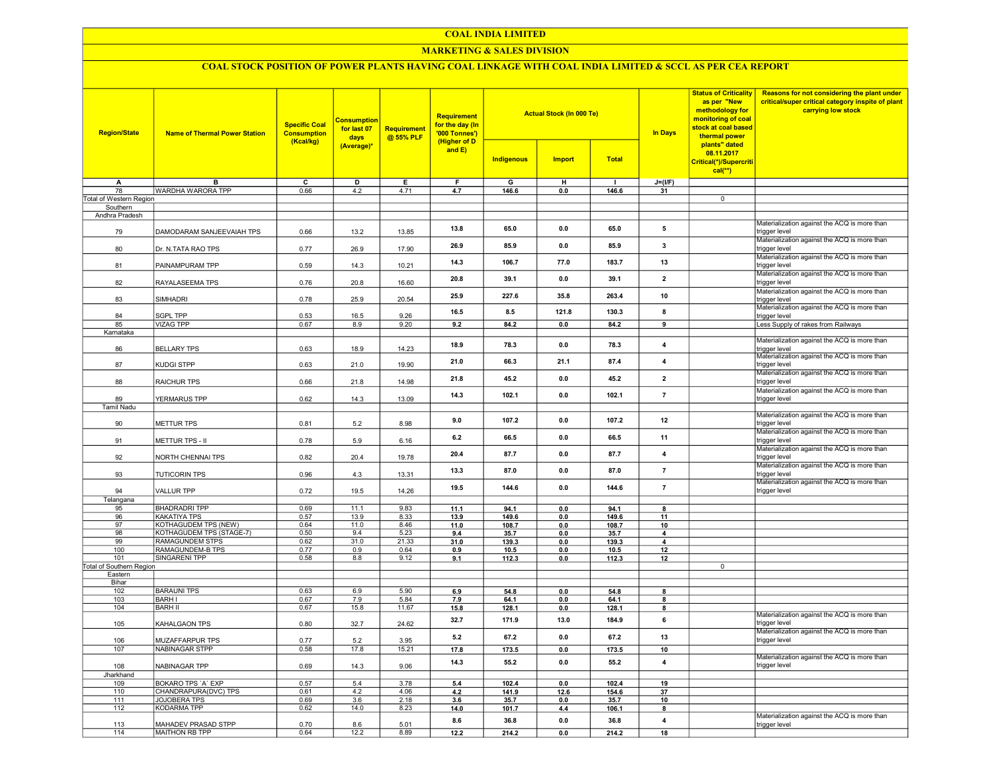#### COAL INDIA LIMITED

## MARKETING & SALES DIVISION

# COAL STOCK POSITION OF POWER PLANTS HAVING COAL LINKAGE WITH COAL INDIA LIMITED & SCCL AS PER CEA REPORT

| <b>Region/State</b>                 | <b>Name of Thermal Power Station</b>      | <b>Specific Coal</b><br><b>Consumption</b><br>(Kcal/kg) | <b>Consumption</b><br>for last 07<br>days | Requirement<br>@ 55% PLF | Requirement<br>for the day (In<br>'000 Tonnes')<br>(Higher of D |               | <b>Actual Stock (In 000 Te)</b> |                | <b>In Days</b>          | <b>Status of Criticality</b><br>as per "New<br>methodology for<br>monitoring of coal<br>stock at coal based<br>thermal power<br>plants" dated | Reasons for not considering the plant under<br>critical/super critical category inspite of plant<br>carrying low stock |
|-------------------------------------|-------------------------------------------|---------------------------------------------------------|-------------------------------------------|--------------------------|-----------------------------------------------------------------|---------------|---------------------------------|----------------|-------------------------|-----------------------------------------------------------------------------------------------------------------------------------------------|------------------------------------------------------------------------------------------------------------------------|
|                                     |                                           |                                                         | (Average)*                                |                          | and $E$ )                                                       | Indigenous    | <b>Import</b>                   | <b>Total</b>   |                         | 08.11.2017<br>Critical(*)/Supercriti<br>$cal(**)$                                                                                             |                                                                                                                        |
| A                                   | B                                         | $\overline{\mathsf{c}}$                                 | D                                         | E                        | F                                                               | G             | H                               | $\mathbf{I}$   | $J=(UF)$                |                                                                                                                                               |                                                                                                                        |
| 78                                  | WARDHA WARORA TPP                         | 0.66                                                    | 4.2                                       | 4.71                     | 4.7                                                             | 146.6         | 0.0                             | 146.6          | 31                      | $\overline{0}$                                                                                                                                |                                                                                                                        |
| Total of Western Region<br>Southern |                                           |                                                         |                                           |                          |                                                                 |               |                                 |                |                         |                                                                                                                                               |                                                                                                                        |
| Andhra Pradesh                      |                                           |                                                         |                                           |                          |                                                                 |               |                                 |                |                         |                                                                                                                                               |                                                                                                                        |
| 79                                  | DAMODARAM SANJEEVAIAH TPS                 | 0.66                                                    | 13.2                                      | 13.85                    | 13.8                                                            | 65.0          | 0.0                             | 65.0           | 5                       |                                                                                                                                               | Materialization against the ACQ is more than<br>trigger level                                                          |
| 80                                  | Dr. N.TATA RAO TPS                        | 0.77                                                    | 26.9                                      | 17.90                    | 26.9                                                            | 85.9          | 0.0                             | 85.9           | $\overline{\mathbf{3}}$ |                                                                                                                                               | Materialization against the ACQ is more than<br>trigger level                                                          |
| 81                                  | PAINAMPURAM TPP                           | 0.59                                                    | 14.3                                      | 10.21                    | 14.3                                                            | 106.7         | 77.0                            | 183.7          | 13                      |                                                                                                                                               | Materialization against the ACQ is more than<br>trigger level                                                          |
| 82                                  | RAYALASEEMA TPS                           | 0.76                                                    | 20.8                                      | 16.60                    | 20.8                                                            | 39.1          | 0.0                             | 39.1           | $\overline{\mathbf{2}}$ |                                                                                                                                               | Materialization against the ACQ is more than<br>trigger level                                                          |
| 83                                  | <b>SIMHADRI</b>                           | 0.78                                                    | 25.9                                      | 20.54                    | 25.9                                                            | 227.6         | 35.8                            | 263.4          | 10                      |                                                                                                                                               | Materialization against the ACQ is more than<br>trigger level                                                          |
| 84                                  | <b>SGPL TPP</b>                           | 0.53                                                    | 16.5                                      | 9.26                     | 16.5                                                            | 8.5           | 121.8                           | 130.3          | 8                       |                                                                                                                                               | Materialization against the ACQ is more than<br>trigger level                                                          |
| 85                                  | <b>VIZAG TPP</b>                          | 0.67                                                    | 8.9                                       | 9.20                     | 9.2                                                             | 84.2          | 0.0                             | 84.2           | 9                       |                                                                                                                                               | Less Supply of rakes from Railways                                                                                     |
| Karnataka                           |                                           |                                                         |                                           |                          |                                                                 |               |                                 |                |                         |                                                                                                                                               | Materialization against the ACQ is more than                                                                           |
| 86                                  | <b>BELLARY TPS</b>                        | 0.63                                                    | 18.9                                      | 14.23                    | 18.9                                                            | 78.3          | 0.0                             | 78.3           | 4                       |                                                                                                                                               | trigger level<br>Materialization against the ACQ is more than                                                          |
| 87                                  | <b>KUDGI STPP</b>                         | 0.63                                                    | 21.0                                      | 19.90                    | 21.0                                                            | 66.3          | 21.1                            | 87.4           | 4                       |                                                                                                                                               | trigger level<br>Materialization against the ACQ is more than                                                          |
| 88                                  | <b>RAICHUR TPS</b>                        | 0.66                                                    | 21.8                                      | 14.98                    | 21.8                                                            | 45.2          | 0.0                             | 45.2           | $\overline{2}$          |                                                                                                                                               | trigger level<br>Materialization against the ACQ is more than                                                          |
| 89<br>Tamil Nadu                    | YERMARUS TPP                              | 0.62                                                    | 14.3                                      | 13.09                    | 14.3                                                            | 102.1         | 0.0                             | 102.1          | $\overline{7}$          |                                                                                                                                               | trigger level                                                                                                          |
| 90                                  | <b>METTUR TPS</b>                         | 0.81                                                    | 5.2                                       | 8.98                     | 9.0                                                             | 107.2         | 0.0                             | 107.2          | 12                      |                                                                                                                                               | Materialization against the ACQ is more than<br>trigger level<br>Materialization against the ACQ is more than          |
| 91                                  | METTUR TPS - II                           | 0.78                                                    | 5.9                                       | 6.16                     | 6.2                                                             | 66.5          | 0.0                             | 66.5           | 11                      |                                                                                                                                               | trigger level<br>Materialization against the ACQ is more than                                                          |
| 92                                  | NORTH CHENNAI TPS                         | 0.82                                                    | 20.4                                      | 19.78                    | 20.4                                                            | 87.7          | 0.0                             | 87.7           | 4                       |                                                                                                                                               | trigger level<br>Materialization against the ACQ is more than                                                          |
| 93                                  | <b>TUTICORIN TPS</b>                      | 0.96                                                    | 4.3                                       | 13.31                    | 13.3                                                            | 87.0          | 0.0                             | 87.0           | $\overline{7}$          |                                                                                                                                               | trigger level<br>Materialization against the ACQ is more than                                                          |
| 94<br>Telangana                     | <b>VALLUR TPP</b>                         | 0.72                                                    | 19.5                                      | 14.26                    | 19.5                                                            | 144.6         | 0.0                             | 144.6          | $\overline{7}$          |                                                                                                                                               | trigger level                                                                                                          |
| 95                                  | <b>BHADRADRI TPP</b>                      | 0.69                                                    | 11.1                                      | 9.83                     | 11.1                                                            | 94.1          | 0.0                             | 94.1           | 8                       |                                                                                                                                               |                                                                                                                        |
| 96                                  | KAKATIYA TPS                              | 0.57                                                    | 13.9                                      | 8.33                     | 13.9                                                            | 149.6         | 0.0                             | 149.6          | 11                      |                                                                                                                                               |                                                                                                                        |
| 97                                  | <b>KOTHAGUDEM TPS (NEW)</b>               | 0.64                                                    | 11.0                                      | 8.46                     | 11.0                                                            | 108.7         | 0.0                             | 108.7          | 10                      |                                                                                                                                               |                                                                                                                        |
| 98                                  | KOTHAGUDEM TPS (STAGE-7)                  | 0.50                                                    | 9.4                                       | 5.23                     | 9.4                                                             | 35.7          | 0.0                             | 35.7           | 4                       |                                                                                                                                               |                                                                                                                        |
| 99                                  | <b>RAMAGUNDEM STPS</b>                    | 0.62                                                    | 31.0                                      | 21.33                    | 31.0                                                            | 139.3         | 0.0                             | 139.3          | $\overline{\mathbf{4}}$ |                                                                                                                                               |                                                                                                                        |
| 100                                 | RAMAGUNDEM-B TPS                          | 0.77                                                    | 0.9                                       | 0.64                     | 0.9                                                             | 10.5          | 0.0                             | 10.5           | 12                      |                                                                                                                                               |                                                                                                                        |
| 101                                 | <b>SINGARENI TPP</b>                      | 0.58                                                    | 8.8                                       | 9.12                     | 9.1                                                             | 112.3         | 0.0                             | 112.3          | 12                      |                                                                                                                                               |                                                                                                                        |
| Total of Southern Region            |                                           |                                                         |                                           |                          |                                                                 |               |                                 |                |                         | $\overline{0}$                                                                                                                                |                                                                                                                        |
| Eastern                             |                                           |                                                         |                                           |                          |                                                                 |               |                                 |                |                         |                                                                                                                                               |                                                                                                                        |
| Bihar                               |                                           |                                                         |                                           |                          |                                                                 |               |                                 |                |                         |                                                                                                                                               |                                                                                                                        |
| 102<br>103                          | <b>BARAUNI TPS</b><br><b>BARH I</b>       | 0.63<br>0.67                                            | 6.9<br>7.9                                | 5.90<br>5.84             | 6.9                                                             | 54.8<br>64.1  | 0.0<br>0.0                      | 54.8           | 8<br>8                  |                                                                                                                                               |                                                                                                                        |
| 104                                 | <b>BARH II</b>                            | 0.67                                                    | 15.8                                      | 11.67                    | 7.9                                                             | 128.1         | 0.0                             | 64.1           | 8                       |                                                                                                                                               |                                                                                                                        |
| 105                                 | KAHALGAON TPS                             | 0.80                                                    | 32.7                                      | 24.62                    | 15.8<br>32.7                                                    | 171.9         | 13.0                            | 128.1<br>184.9 | 6                       |                                                                                                                                               | Materialization against the ACQ is more than<br>trigger level                                                          |
| 106                                 | MUZAFFARPUR TPS                           | 0.77                                                    | 5.2                                       | 3.95                     | 5.2                                                             | 67.2          | 0.0                             | 67.2           | 13                      |                                                                                                                                               | Materialization against the ACQ is more than<br>trigger level                                                          |
| 107                                 | NABINAGAR STPP                            | 0.58                                                    | 17.8                                      | 15.21                    | 17.8                                                            | 173.5         | 0.0                             | 173.5          | 10                      |                                                                                                                                               |                                                                                                                        |
| 108                                 | NABINAGAR TPP                             | 0.69                                                    | 14.3                                      | 9.06                     | 14.3                                                            | 55.2          | 0.0                             | 55.2           | 4                       |                                                                                                                                               | Materialization against the ACQ is more than<br>trigger level                                                          |
| Jharkhand                           |                                           |                                                         |                                           |                          |                                                                 |               |                                 |                |                         |                                                                                                                                               |                                                                                                                        |
| 109                                 | BOKARO TPS 'A' EXP                        | 0.57                                                    | 5.4                                       | 3.78                     | 5.4                                                             | 102.4         | 0.0                             | 102.4          | 19                      |                                                                                                                                               |                                                                                                                        |
| 110                                 | CHANDRAPURA(DVC) TPS                      | 0.61                                                    | 4.2                                       | 4.06                     | 4.2                                                             | 141.9         | 12.6                            | 154.6          | 37                      |                                                                                                                                               |                                                                                                                        |
| 111                                 | JOJOBERA TPS                              | 0.69                                                    | 3.6                                       | 2.18                     | 3.6                                                             | 35.7          | 0.0                             | 35.7           | 10                      |                                                                                                                                               |                                                                                                                        |
| 112<br>113                          | <b>KODARMA TPP</b><br>MAHADEV PRASAD STPP | 0.62<br>0.70                                            | 14.0<br>8.6                               | 8.23<br>5.01             | 14.0<br>8.6                                                     | 101.7<br>36.8 | 4.4<br>0.0                      | 106.1<br>36.8  | 8<br>4                  |                                                                                                                                               | Materialization against the ACQ is more than                                                                           |
| 114                                 | MAITHON RB TPP                            | 0.64                                                    | 12.2                                      | 8.89                     | 12.2                                                            | 214.2         | 0.0                             | 214.2          | 18                      |                                                                                                                                               | trigger level                                                                                                          |
|                                     |                                           |                                                         |                                           |                          |                                                                 |               |                                 |                |                         |                                                                                                                                               |                                                                                                                        |